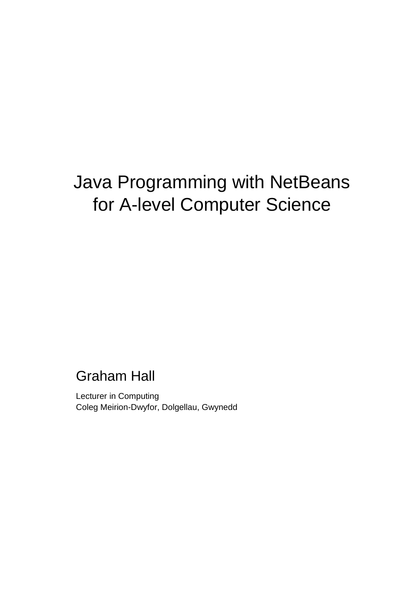# Java Programming with NetBeans for A-level Computer Science

## Graham Hall

Lecturer in Computing Coleg Meirion-Dwyfor, Dolgellau, Gwynedd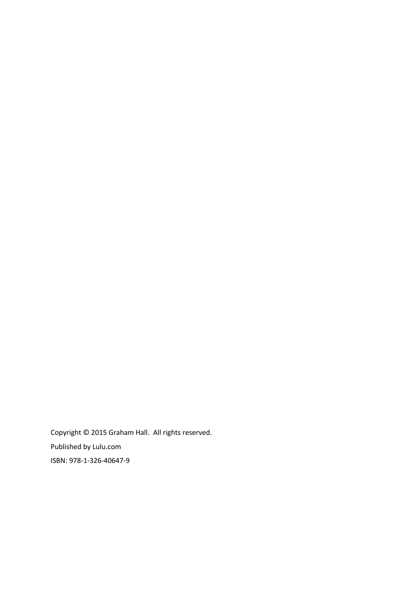Copyright © 2015 Graham Hall. All rights reserved. Published by Lulu.com ISBN: 978-1-326-40647-9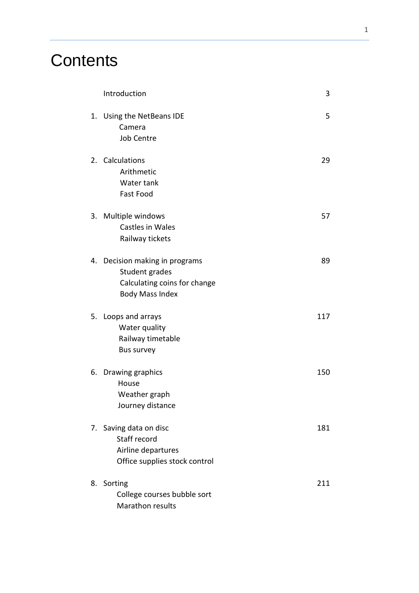## **Contents**

| Introduction                                                                                               | 3   |
|------------------------------------------------------------------------------------------------------------|-----|
| 1. Using the NetBeans IDE<br>Camera<br><b>Job Centre</b>                                                   | 5   |
| 2. Calculations<br>Arithmetic<br>Water tank<br><b>Fast Food</b>                                            | 29  |
| 3. Multiple windows<br>Castles in Wales<br>Railway tickets                                                 | 57  |
| 4. Decision making in programs<br>Student grades<br>Calculating coins for change<br><b>Body Mass Index</b> | 89  |
| 5. Loops and arrays<br>Water quality<br>Railway timetable<br>Bus survey                                    | 117 |
| 6. Drawing graphics<br>House<br>Weather graph<br>Journey distance                                          | 150 |
| 7. Saving data on disc<br>Staff record<br>Airline departures<br>Office supplies stock control              | 181 |
| 8. Sorting<br>College courses bubble sort<br>Marathon results                                              | 211 |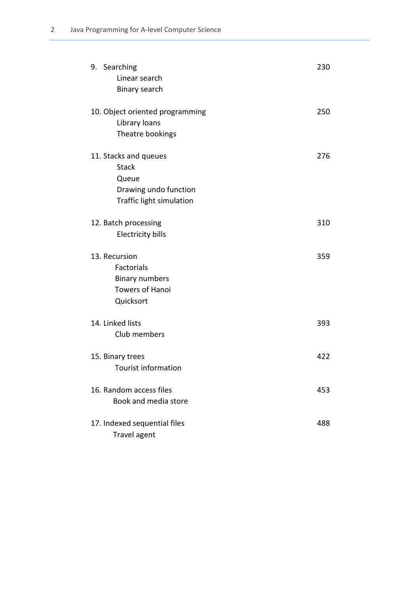| 9. Searching<br>Linear search<br>Binary search                                                      | 230 |
|-----------------------------------------------------------------------------------------------------|-----|
| 10. Object oriented programming<br>Library loans<br>Theatre bookings                                | 250 |
| 11. Stacks and queues<br><b>Stack</b><br>Queue<br>Drawing undo function<br>Traffic light simulation | 276 |
| 12. Batch processing<br><b>Electricity bills</b>                                                    | 310 |
| 13. Recursion<br>Factorials<br><b>Binary numbers</b><br><b>Towers of Hanoi</b><br>Quicksort         | 359 |
| 14. Linked lists<br>Club members                                                                    | 393 |
| 15. Binary trees<br><b>Tourist information</b>                                                      | 422 |
| 16. Random access files<br>Book and media store                                                     | 453 |
| 17. Indexed sequential files<br>Travel agent                                                        | 488 |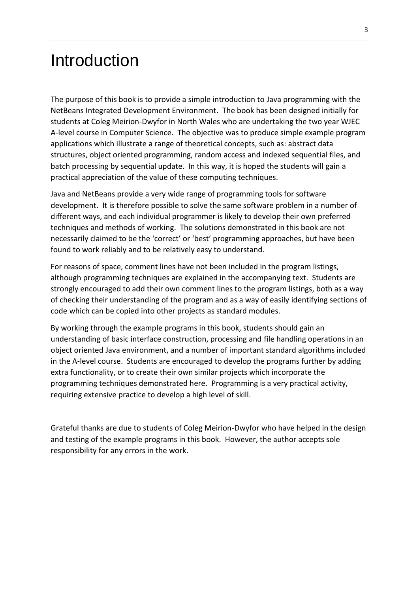## Introduction

The purpose of this book is to provide a simple introduction to Java programming with the NetBeans Integrated Development Environment. The book has been designed initially for students at Coleg Meirion-Dwyfor in North Wales who are undertaking the two year WJEC A-level course in Computer Science. The objective was to produce simple example program applications which illustrate a range of theoretical concepts, such as: abstract data structures, object oriented programming, random access and indexed sequential files, and batch processing by sequential update. In this way, it is hoped the students will gain a practical appreciation of the value of these computing techniques.

Java and NetBeans provide a very wide range of programming tools for software development. It is therefore possible to solve the same software problem in a number of different ways, and each individual programmer is likely to develop their own preferred techniques and methods of working. The solutions demonstrated in this book are not necessarily claimed to be the 'correct' or 'best' programming approaches, but have been found to work reliably and to be relatively easy to understand.

For reasons of space, comment lines have not been included in the program listings, although programming techniques are explained in the accompanying text. Students are strongly encouraged to add their own comment lines to the program listings, both as a way of checking their understanding of the program and as a way of easily identifying sections of code which can be copied into other projects as standard modules.

By working through the example programs in this book, students should gain an understanding of basic interface construction, processing and file handling operations in an object oriented Java environment, and a number of important standard algorithms included in the A-level course. Students are encouraged to develop the programs further by adding extra functionality, or to create their own similar projects which incorporate the programming techniques demonstrated here. Programming is a very practical activity, requiring extensive practice to develop a high level of skill.

Grateful thanks are due to students of Coleg Meirion-Dwyfor who have helped in the design and testing of the example programs in this book. However, the author accepts sole responsibility for any errors in the work.